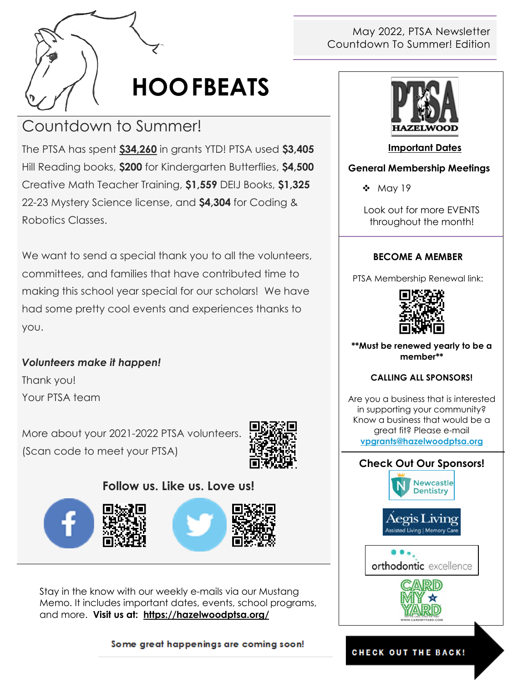

# **HOOFBEATS**

# Countdown to Summer!

The PTSA has spent **\$34,260** in grants YTD! PTSA used **\$3,405** Hill Reading books, **\$200** for Kindergarten Butterflies, **\$4,500** Creative Math Teacher Training, **\$1,559** DEIJ Books, **\$1,325**  22-23 Mystery Science license, and **\$4,304** for Coding & Robotics Classes.

We want to send a special thank you to all the volunteers, committees, and families that have contributed time to making this school year special for our scholars! We have had some pretty cool events and experiences thanks to you.

### *Volunteers make it happen!* Thank you!

Your PTSA team

More about your 2021-2022 PTSA volunteers. (Scan code to meet your PTSA)



### **Follow us. Like us. Love us!**







Stay in the know with our weekly e-mails via our Mustang Memo. It includes important dates, events, school programs, and more. **Visit us at: <https://hazelwoodptsa.org/>**

#### Some great happenings are coming soon!

#### May 2022, PTSA Newsletter Countdown To Summer! Edition



#### **Important Dates**

#### **General Membership Meetings**

❖ May 19

Look out for more EVENTS throughout the month!

#### **BECOME A MEMBER**

PTSA Membership Renewal link:



**\*\*Must be renewed yearly to be a member\*\***

#### **CALLING ALL SPONSORS!**

Are you a business that is interested in supporting your community? Know a business that would be a great fit? Please e-mail **[vpgrants@hazelwoodptsa.org](mailto:vpgrants@hazelwoodptsa.org)**



#### **CHECK OUT THE BACK!**